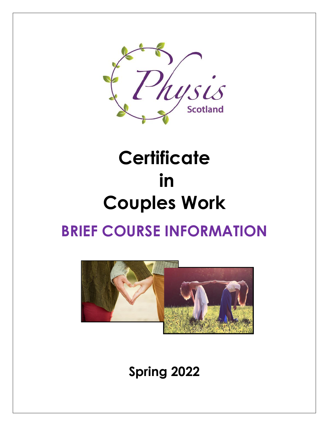

# **Certificate in Couples Work BRIEF COURSE INFORMATION**



**Spring 2022**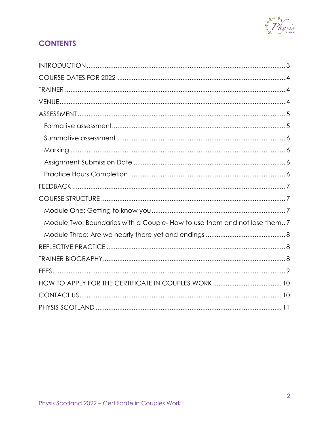

# **CONTENTS**

| Module Two: Boundaries with a Couple- How to use them and not lose them 7 |
|---------------------------------------------------------------------------|
|                                                                           |
|                                                                           |
|                                                                           |
|                                                                           |
|                                                                           |
|                                                                           |
|                                                                           |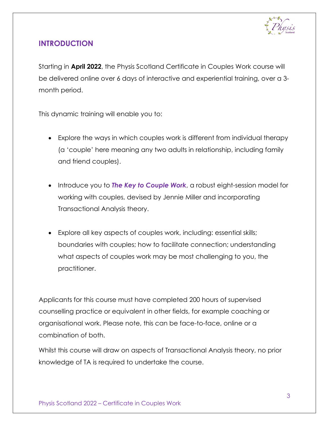

# <span id="page-2-0"></span>**INTRODUCTION**

Starting in **April 2022**, the Physis Scotland Certificate in Couples Work course will be delivered online over 6 days of interactive and experiential training, over a 3 month period.

This dynamic training will enable you to:

- Explore the ways in which couples work is different from individual therapy (a 'couple' here meaning any two adults in relationship, including family and friend couples).
- Introduce you to *The Key to Couple Work*, a robust eight-session model for working with couples, devised by Jennie Miller and incorporating Transactional Analysis theory.
- Explore all key aspects of couples work, including: essential skills; boundaries with couples; how to facilitate connection; understanding what aspects of couples work may be most challenging to you, the practitioner.

Applicants for this course must have completed 200 hours of supervised counselling practice or equivalent in other fields, for example coaching or organisational work. Please note, this can be face-to-face, online or a combination of both.

Whilst this course will draw on aspects of Transactional Analysis theory, no prior knowledge of TA is required to undertake the course.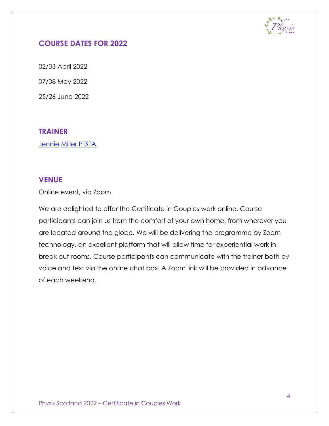

# <span id="page-3-0"></span>**COURSE DATES FOR 2022**

02/03 April 2022 07/08 May 2022 25/26 June 2022

## <span id="page-3-1"></span>**TRAINER**

[Jennie Miller PTSTA](#page-7-2)

## <span id="page-3-2"></span>**VENUE**

Online event, via Zoom.

We are delighted to offer the Certificate in Couples work online. Course participants can join us from the comfort of your own home, from wherever you are located around the globe. We will be delivering the programme by Zoom technology, an excellent platform that will allow time for experiential work in break out rooms. Course participants can communicate with the trainer both by voice and text via the online chat box. A Zoom link will be provided in advance of each weekend.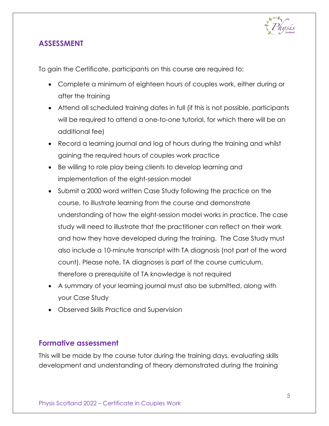

# <span id="page-4-0"></span>**ASSESSMENT**

To gain the Certificate, participants on this course are required to:

- Complete a minimum of eighteen hours of couples work, either during or after the training
- Attend all scheduled training dates in full (if this is not possible, participants will be required to attend a one-to-one tutorial, for which there will be an additional fee)
- Record a learning journal and log of hours during the training and whilst gaining the required hours of couples work practice
- Be willing to role play being clients to develop learning and implementation of the eight-session model
- Submit a 2000 word written Case Study following the practice on the course, to illustrate learning from the course and demonstrate understanding of how the eight-session model works in practice. The case study will need to illustrate that the practitioner can reflect on their work and how they have developed during the training. The Case Study must also include a 10-minute transcript with TA diagnosis (not part of the word count). Please note, TA diagnoses is part of the course curriculum, therefore a prerequisite of TA knowledge is not required
- A summary of your learning journal must also be submitted, along with your Case Study
- Observed Skills Practice and Supervision

## <span id="page-4-1"></span>**Formative assessment**

This will be made by the course tutor during the training days, evaluating skills development and understanding of theory demonstrated during the training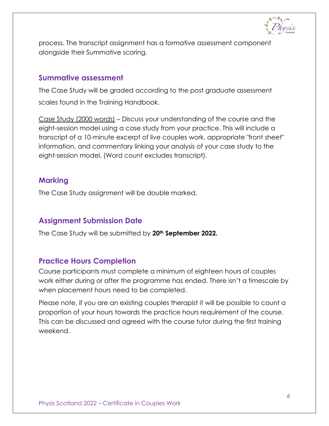

process. The transcript assignment has a formative assessment component alongside their Summative scoring.

## <span id="page-5-0"></span>**Summative assessment**

The Case Study will be graded according to the post graduate assessment scales found in the Training Handbook.

Case Study (2000 words) – Discuss your understanding of the course and the eight-session model using a case study from your practice. This will include a transcript of a 10-minute excerpt of live couples work, appropriate "front sheet" information, and commentary linking your analysis of your case study to the eight-session model. (Word count excludes transcript).

## <span id="page-5-1"></span>**Marking**

The Case Study assignment will be double marked.

# <span id="page-5-2"></span>**Assignment Submission Date**

The Case Study will be submitted by **20th September 2022***.*

# <span id="page-5-3"></span>**Practice Hours Completion**

Course participants must complete a minimum of eighteen hours of couples work either during or after the programme has ended. There isn't a timescale by when placement hours need to be completed.

Please note, if you are an existing couples therapist it will be possible to count a proportion of your hours towards the practice hours requirement of the course. This can be discussed and agreed with the course tutor during the first training weekend.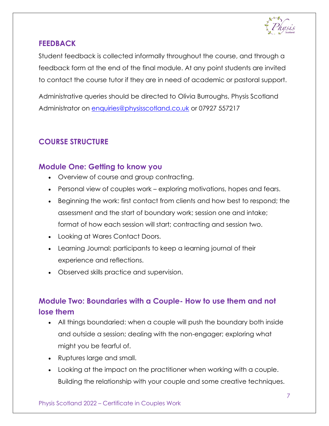

# <span id="page-6-0"></span>**FEEDBACK**

Student feedback is collected informally throughout the course, and through a feedback form at the end of the final module. At any point students are invited to contact the course tutor if they are in need of academic or pastoral support.

Administrative queries should be directed to Olivia Burroughs, Physis Scotland Administrator on [enquiries@physisscotland.co.uk](mailto:enquiries@physisscotland.co.uk) or 07927 557217

# <span id="page-6-1"></span>**COURSE STRUCTURE**

## <span id="page-6-2"></span>**Module One: Getting to know you**

- Overview of course and group contracting.
- Personal view of couples work exploring motivations, hopes and fears.
- Beginning the work: first contact from clients and how best to respond; the assessment and the start of boundary work; session one and intake; format of how each session will start; contracting and session two.
- Looking at Wares Contact Doors.
- Learning Journal: participants to keep a learning journal of their experience and reflections.
- Observed skills practice and supervision.

# <span id="page-6-3"></span>**Module Two: Boundaries with a Couple- How to use them and not lose them**

- All things boundaried: when a couple will push the boundary both inside and outside a session; dealing with the non-engager; exploring what might you be fearful of.
- Ruptures large and small.
- Looking at the impact on the practitioner when working with a couple. Building the relationship with your couple and some creative techniques.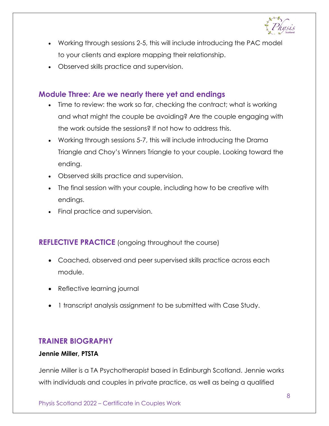

- Working through sessions 2-5, this will include introducing the PAC model to your clients and explore mapping their relationship.
- Observed skills practice and supervision.

## <span id="page-7-0"></span>**Module Three: Are we nearly there yet and endings**

- Time to review: the work so far, checking the contract; what is working and what might the couple be avoiding? Are the couple engaging with the work outside the sessions? If not how to address this.
- Working through sessions 5-7, this will include introducing the Drama Triangle and Choy's Winners Triangle to your couple. Looking toward the ending.
- Observed skills practice and supervision.
- The final session with your couple, including how to be creative with endings.
- Final practice and supervision.

## <span id="page-7-1"></span>**REFLECTIVE PRACTICE** (ongoing throughout the course)

- Coached, observed and peer supervised skills practice across each module.
- Reflective learning journal
- 1 transcript analysis assignment to be submitted with Case Study.

## <span id="page-7-2"></span>**TRAINER BIOGRAPHY**

#### **Jennie Miller, PTSTA**

Jennie Miller is a TA Psychotherapist based in Edinburgh Scotland. Jennie works with individuals and couples in private practice, as well as being a qualified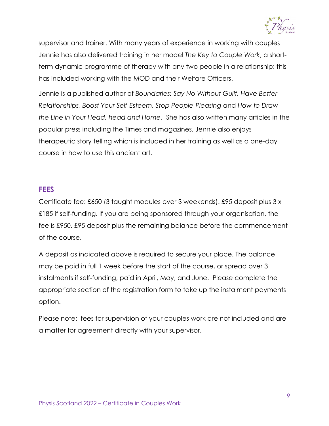

supervisor and trainer. With many years of experience in working with couples Jennie has also delivered training in her model *The Key to Couple Work*, a shortterm dynamic programme of therapy with any two people in a relationship; this has included working with the MOD and their Welfare Officers.

Jennie is a published author of *[Boundaries: Say No Without Guilt, Have Better](https://www.amazon.co.uk/Boundaries-Without-Relationships-Self-Esteem-People-Pleasing-ebook/dp/B074RXTVTP/ref=sr_1_1?dchild=1&keywords=jennie+Miller&qid=1605279648&sr=8-1)  [Relationships, Boost Your Self-Esteem, Stop People-Pleasing](https://www.amazon.co.uk/Boundaries-Without-Relationships-Self-Esteem-People-Pleasing-ebook/dp/B074RXTVTP/ref=sr_1_1?dchild=1&keywords=jennie+Miller&qid=1605279648&sr=8-1)* and *How to Draw the Line in Your Head, head and Home*. She has also written many articles in the popular press including the Times and magazines. Jennie also enjoys therapeutic story telling which is included in her training as well as a one-day course in how to use this ancient art.

#### <span id="page-8-0"></span>**FEES**

Certificate fee: £650 (3 taught modules over 3 weekends). £95 deposit plus 3 x £185 if self-funding. If you are being sponsored through your organisation, the fee is £950. £95 deposit plus the remaining balance before the commencement of the course.

A deposit as indicated above is required to secure your place. The balance may be paid in full 1 week before the start of the course, or spread over 3 instalments if self-funding, paid in April, May, and June. Please complete the appropriate section of the registration form to take up the instalment payments option.

Please note: fees for supervision of your couples work are not included and are a matter for agreement directly with your supervisor.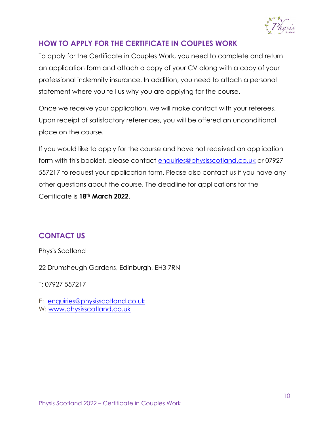

# <span id="page-9-0"></span>**HOW TO APPLY FOR THE CERTIFICATE IN COUPLES WORK**

To apply for the Certificate in Couples Work, you need to complete and return an application form and attach a copy of your CV along with a copy of your professional indemnity insurance. In addition, you need to attach a personal statement where you tell us why you are applying for the course.

Once we receive your application, we will make contact with your referees. Upon receipt of satisfactory references, you will be offered an unconditional place on the course.

If you would like to apply for the course and have not received an application form with this booklet, please contact [enquiries@physisscotland.co.uk](mailto:enquiries@physisscotland.co.uk) or 07927 557217 to request your application form. Please also contact us if you have any other questions about the course. The deadline for applications for the Certificate is **18th March 2022**.

# <span id="page-9-1"></span>**CONTACT US**

Physis Scotland

22 Drumsheugh Gardens, Edinburgh, EH3 7RN

T: 07927 557217

E: [enquiries@physisscotland.co.uk](mailto:enquiries@physisscotland.co.uk) W: [www.physisscotland.co.uk](http://www.physisscotland.co.uk/)